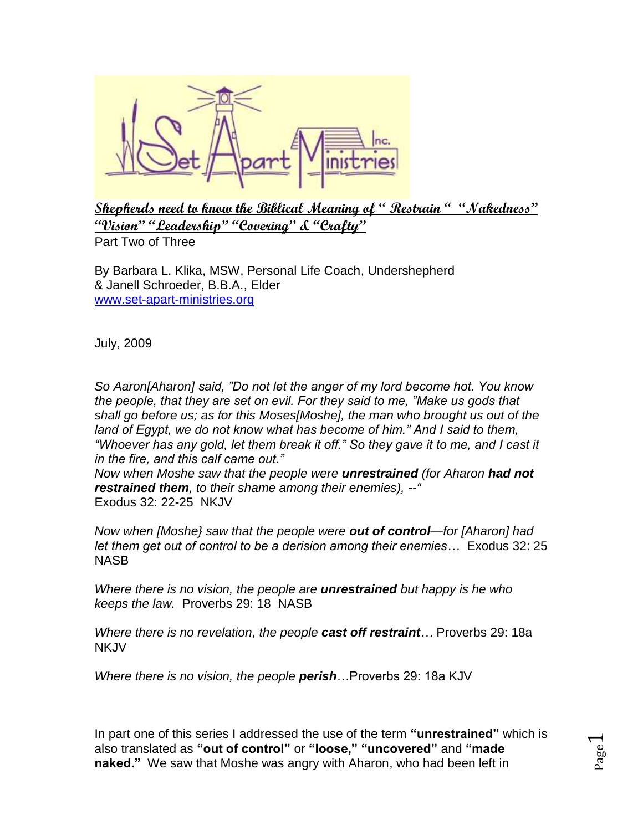

**Shepherds need to know the Biblical Meaning of " Restrain " "Nakedness" "Vision" "Leadership" "Covering" & "Crafty"** Part Two of Three

By Barbara L. Klika, MSW, Personal Life Coach, Undershepherd & Janell Schroeder, B.B.A., Elder [www.set-apart-ministries.org](http://www.set-apart-ministries.org/)

July, 2009

*So Aaron[Aharon] said, "Do not let the anger of my lord become hot. You know the people, that they are set on evil. For they said to me, "Make us gods that shall go before us; as for this Moses[Moshe], the man who brought us out of the land of Egypt, we do not know what has become of him." And I said to them, "Whoever has any gold, let them break it off." So they gave it to me, and I cast it in the fire, and this calf came out."* 

*Now when Moshe saw that the people were unrestrained (for Aharon had not restrained them, to their shame among their enemies), --"* Exodus 32: 22-25 NKJV

*Now when [Moshe} saw that the people were out of control—for [Aharon] had let them get out of control to be a derision among their enemies…* Exodus 32: 25 NASB

*Where there is no vision, the people are unrestrained but happy is he who keeps the law.* Proverbs 29: 18 NASB

*Where there is no revelation, the people cast off restraint…* Proverbs 29: 18a **NKJV** 

*Where there is no vision, the people perish*…Proverbs 29: 18a KJV

In part one of this series I addressed the use of the term **"unrestrained"** which is also translated as **"out of control"** or **"loose," "uncovered"** and **"made naked."** We saw that Moshe was angry with Aharon, who had been left in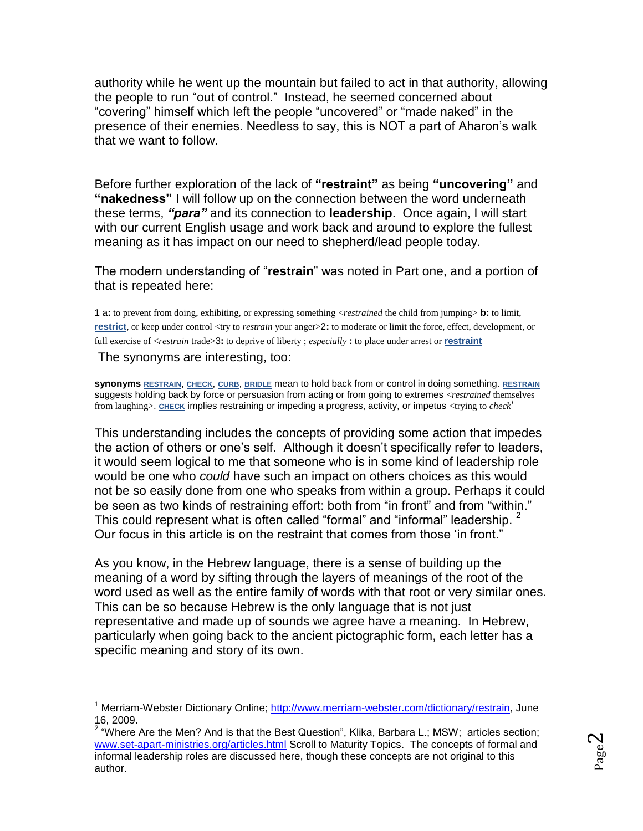authority while he went up the mountain but failed to act in that authority, allowing the people to run "out of control." Instead, he seemed concerned about "covering" himself which left the people "uncovered" or "made naked" in the presence of their enemies. Needless to say, this is NOT a part of Aharon's walk that we want to follow.

Before further exploration of the lack of **"restraint"** as being **"uncovering"** and **"nakedness"** I will follow up on the connection between the word underneath these terms, *"para"* and its connection to **leadership**. Once again, I will start with our current English usage and work back and around to explore the fullest meaning as it has impact on our need to shepherd/lead people today.

The modern understanding of "**restrain**" was noted in Part one, and a portion of that is repeated here:

1 a**:** to prevent from doing, exhibiting, or expressing something <*restrained* the child from jumping> **b:** to limit, **[restrict](http://www.merriam-webster.com/dictionary/restrict)**, or keep under control <try to *restrain* your anger>2: to moderate or limit the force, effect, development, or full exercise of <*restrain* trade>3**:** to deprive of liberty ; *especially* **:** to place under arrest or **[restraint](http://www.merriam-webster.com/dictionary/restraint)**

The synonyms are interesting, too:

**synonyms [RESTRAIN](http://www.merriam-webster.com/dictionary/restrain)**, **[CHECK](http://www.merriam-webster.com/dictionary/check)**, **[CURB](http://www.merriam-webster.com/dictionary/curb)**, **[BRIDLE](http://www.merriam-webster.com/dictionary/bridle)** mean to hold back from or control in doing something. **[RESTRAIN](http://www.merriam-webster.com/dictionary/restrain)** suggests holding back by force or persuasion from acting or from going to extremes <*restrained* themselves from laughing>. [CHECK](http://www.merriam-webster.com/dictionary/check) implies restraining or impeding a progress, activity, or impetus <trying to *check<sup>1</sup>* 

This understanding includes the concepts of providing some action that impedes the action of others or one's self. Although it doesn't specifically refer to leaders, it would seem logical to me that someone who is in some kind of leadership role would be one who *could* have such an impact on others choices as this would not be so easily done from one who speaks from within a group. Perhaps it could be seen as two kinds of restraining effort: both from "in front" and from "within." This could represent what is often called "formal" and "informal" leadership.  $2$ Our focus in this article is on the restraint that comes from those 'in front."

As you know, in the Hebrew language, there is a sense of building up the meaning of a word by sifting through the layers of meanings of the root of the word used as well as the entire family of words with that root or very similar ones. This can be so because Hebrew is the only language that is not just representative and made up of sounds we agree have a meaning. In Hebrew, particularly when going back to the ancient pictographic form, each letter has a specific meaning and story of its own.

 $\overline{a}$ <sup>1</sup> Merriam-Webster Dictionary Online; [http://www.merriam-webster.com/dictionary/restrain,](http://www.merriam-webster.com/dictionary/restrain) June 16, 2009.

<sup>&</sup>lt;sup>2</sup> "Where Are the Men? And is that the Best Question", Klika, Barbara L.; MSW; articles section; [www.set-apart-ministries.org/articles.html](http://www.set-apart-ministries.org/articles.html) Scroll to Maturity Topics. The concepts of formal and informal leadership roles are discussed here, though these concepts are not original to this author.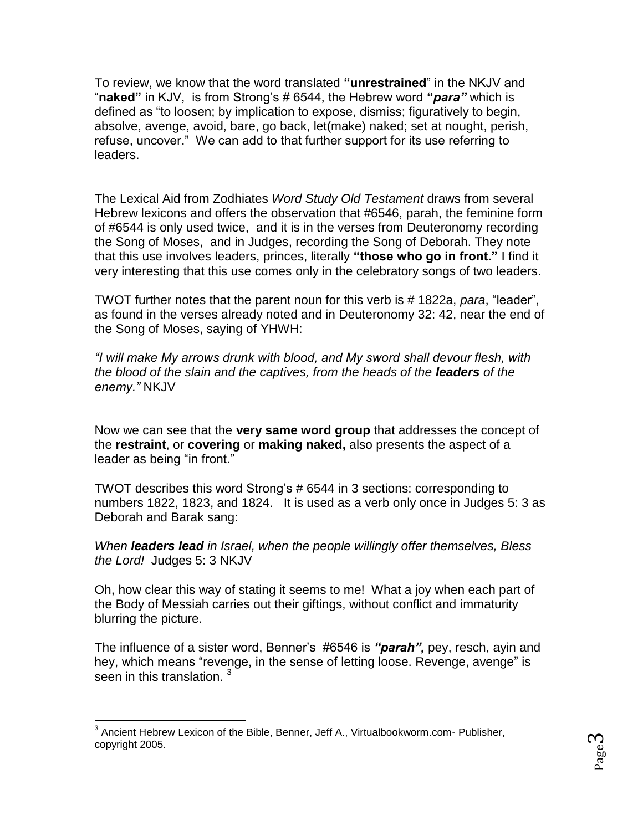To review, we know that the word translated **"unrestrained**" in the NKJV and "**naked"** in KJV, is from Strong's # 6544, the Hebrew word **"***para"* which is defined as "to loosen; by implication to expose, dismiss; figuratively to begin, absolve, avenge, avoid, bare, go back, let(make) naked; set at nought, perish, refuse, uncover." We can add to that further support for its use referring to leaders.

The Lexical Aid from Zodhiates *Word Study Old Testament* draws from several Hebrew lexicons and offers the observation that #6546, parah, the feminine form of #6544 is only used twice, and it is in the verses from Deuteronomy recording the Song of Moses, and in Judges, recording the Song of Deborah. They note that this use involves leaders, princes, literally **"those who go in front."** I find it very interesting that this use comes only in the celebratory songs of two leaders.

TWOT further notes that the parent noun for this verb is # 1822a, *para*, "leader", as found in the verses already noted and in Deuteronomy 32: 42, near the end of the Song of Moses, saying of YHWH:

*"I will make My arrows drunk with blood, and My sword shall devour flesh, with the blood of the slain and the captives, from the heads of the leaders of the enemy."* NKJV

Now we can see that the **very same word group** that addresses the concept of the **restraint**, or **covering** or **making naked,** also presents the aspect of a leader as being "in front."

TWOT describes this word Strong's # 6544 in 3 sections: corresponding to numbers 1822, 1823, and 1824. It is used as a verb only once in Judges 5: 3 as Deborah and Barak sang:

*When leaders lead in Israel, when the people willingly offer themselves, Bless the Lord!* Judges 5: 3 NKJV

Oh, how clear this way of stating it seems to me! What a joy when each part of the Body of Messiah carries out their giftings, without conflict and immaturity blurring the picture.

The influence of a sister word, Benner's #6546 is *"parah",* pey, resch, ayin and hey, which means "revenge, in the sense of letting loose. Revenge, avenge" is seen in this translation.<sup>3</sup>

 $\overline{a}$ <sup>3</sup> Ancient Hebrew Lexicon of the Bible, Benner, Jeff A., Virtualbookworm.com- Publisher, copyright 2005.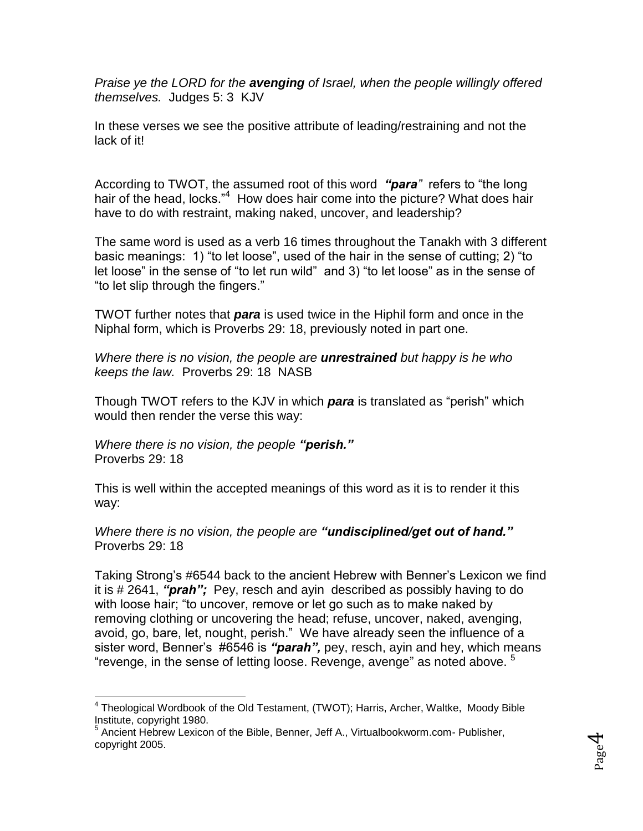*Praise ye the LORD for the avenging of Israel, when the people willingly offered themselves.* Judges 5: 3 KJV

In these verses we see the positive attribute of leading/restraining and not the lack of it!

According to TWOT, the assumed root of this word *"para"* refers to "the long hair of the head, locks."<sup>4</sup> How does hair come into the picture? What does hair have to do with restraint, making naked, uncover, and leadership?

The same word is used as a verb 16 times throughout the Tanakh with 3 different basic meanings: 1) "to let loose", used of the hair in the sense of cutting; 2) "to let loose" in the sense of "to let run wild" and 3) "to let loose" as in the sense of "to let slip through the fingers."

TWOT further notes that *para* is used twice in the Hiphil form and once in the Niphal form, which is Proverbs 29: 18, previously noted in part one.

*Where there is no vision, the people are unrestrained but happy is he who keeps the law.* Proverbs 29: 18 NASB

Though TWOT refers to the KJV in which *para* is translated as "perish" which would then render the verse this way:

*Where there is no vision, the people "perish."* Proverbs 29: 18

This is well within the accepted meanings of this word as it is to render it this way:

*Where there is no vision, the people are "undisciplined/get out of hand."* Proverbs 29: 18

Taking Strong's #6544 back to the ancient Hebrew with Benner's Lexicon we find it is # 2641, *"prah";* Pey, resch and ayin described as possibly having to do with loose hair; "to uncover, remove or let go such as to make naked by removing clothing or uncovering the head; refuse, uncover, naked, avenging, avoid, go, bare, let, nought, perish." We have already seen the influence of a sister word, Benner's #6546 is *"parah",* pey, resch, ayin and hey, which means "revenge, in the sense of letting loose. Revenge, avenge" as noted above.  $5$ 

 $\overline{a}$ <sup>4</sup> Theological Wordbook of the Old Testament, (TWOT); Harris, Archer, Waltke, Moody Bible Institute, copyright 1980.

<sup>&</sup>lt;sup>5</sup> Ancient Hebrew Lexicon of the Bible, Benner, Jeff A., Virtualbookworm.com- Publisher, copyright 2005.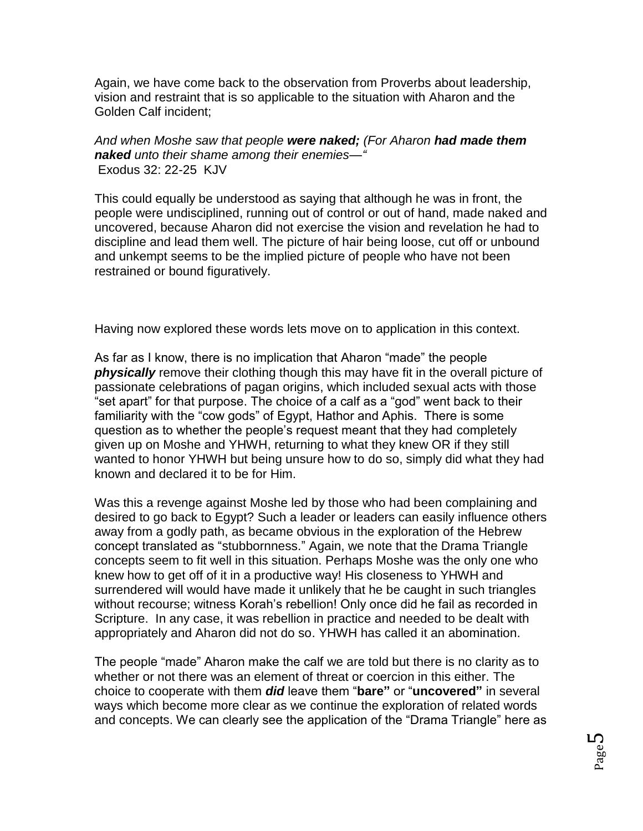Again, we have come back to the observation from Proverbs about leadership, vision and restraint that is so applicable to the situation with Aharon and the Golden Calf incident;

*And when Moshe saw that people were naked; (For Aharon had made them naked unto their shame among their enemies—"* Exodus 32: 22-25 KJV

This could equally be understood as saying that although he was in front, the people were undisciplined, running out of control or out of hand, made naked and uncovered, because Aharon did not exercise the vision and revelation he had to discipline and lead them well. The picture of hair being loose, cut off or unbound and unkempt seems to be the implied picture of people who have not been restrained or bound figuratively.

Having now explored these words lets move on to application in this context.

As far as I know, there is no implication that Aharon "made" the people *physically* remove their clothing though this may have fit in the overall picture of passionate celebrations of pagan origins, which included sexual acts with those "set apart" for that purpose. The choice of a calf as a "god" went back to their familiarity with the "cow gods" of Egypt, Hathor and Aphis. There is some question as to whether the people's request meant that they had completely given up on Moshe and YHWH, returning to what they knew OR if they still wanted to honor YHWH but being unsure how to do so, simply did what they had known and declared it to be for Him.

Was this a revenge against Moshe led by those who had been complaining and desired to go back to Egypt? Such a leader or leaders can easily influence others away from a godly path, as became obvious in the exploration of the Hebrew concept translated as "stubbornness." Again, we note that the Drama Triangle concepts seem to fit well in this situation. Perhaps Moshe was the only one who knew how to get off of it in a productive way! His closeness to YHWH and surrendered will would have made it unlikely that he be caught in such triangles without recourse; witness Korah's rebellion! Only once did he fail as recorded in Scripture. In any case, it was rebellion in practice and needed to be dealt with appropriately and Aharon did not do so. YHWH has called it an abomination.

The people "made" Aharon make the calf we are told but there is no clarity as to whether or not there was an element of threat or coercion in this either. The choice to cooperate with them *did* leave them "**bare"** or "**uncovered"** in several ways which become more clear as we continue the exploration of related words and concepts. We can clearly see the application of the "Drama Triangle" here as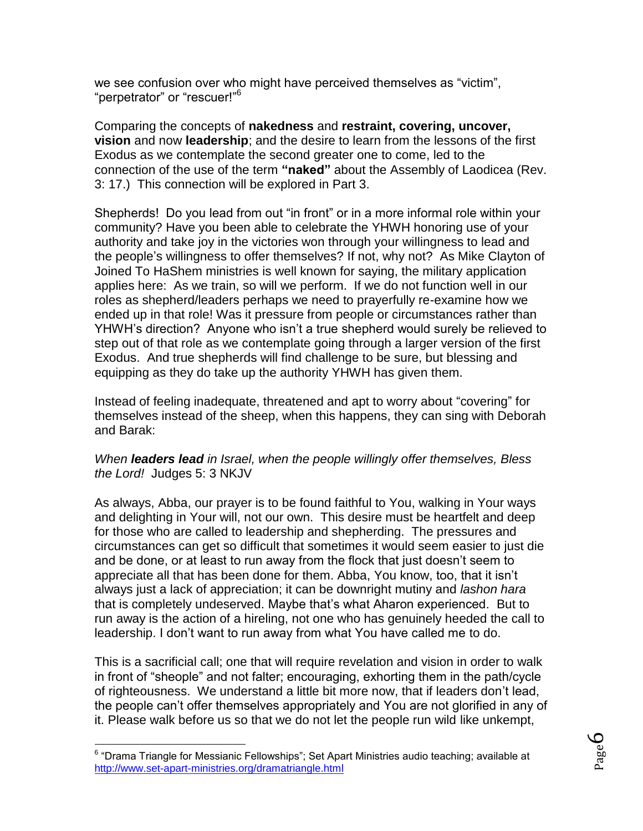we see confusion over who might have perceived themselves as "victim", "perpetrator" or "rescuer!"<sup>6</sup>

Comparing the concepts of **nakedness** and **restraint, covering, uncover, vision** and now **leadership**; and the desire to learn from the lessons of the first Exodus as we contemplate the second greater one to come, led to the connection of the use of the term **"naked"** about the Assembly of Laodicea (Rev. 3: 17.) This connection will be explored in Part 3.

Shepherds! Do you lead from out "in front" or in a more informal role within your community? Have you been able to celebrate the YHWH honoring use of your authority and take joy in the victories won through your willingness to lead and the people's willingness to offer themselves? If not, why not? As Mike Clayton of Joined To HaShem ministries is well known for saying, the military application applies here: As we train, so will we perform. If we do not function well in our roles as shepherd/leaders perhaps we need to prayerfully re-examine how we ended up in that role! Was it pressure from people or circumstances rather than YHWH's direction? Anyone who isn't a true shepherd would surely be relieved to step out of that role as we contemplate going through a larger version of the first Exodus. And true shepherds will find challenge to be sure, but blessing and equipping as they do take up the authority YHWH has given them.

Instead of feeling inadequate, threatened and apt to worry about "covering" for themselves instead of the sheep, when this happens, they can sing with Deborah and Barak:

## *When leaders lead in Israel, when the people willingly offer themselves, Bless the Lord!* Judges 5: 3 NKJV

As always, Abba, our prayer is to be found faithful to You, walking in Your ways and delighting in Your will, not our own. This desire must be heartfelt and deep for those who are called to leadership and shepherding. The pressures and circumstances can get so difficult that sometimes it would seem easier to just die and be done, or at least to run away from the flock that just doesn't seem to appreciate all that has been done for them. Abba, You know, too, that it isn't always just a lack of appreciation; it can be downright mutiny and *lashon hara* that is completely undeserved. Maybe that's what Aharon experienced. But to run away is the action of a hireling, not one who has genuinely heeded the call to leadership. I don't want to run away from what You have called me to do.

This is a sacrificial call; one that will require revelation and vision in order to walk in front of "sheople" and not falter; encouraging, exhorting them in the path/cycle of righteousness. We understand a little bit more now, that if leaders don't lead, the people can't offer themselves appropriately and You are not glorified in any of it. Please walk before us so that we do not let the people run wild like unkempt,

 $\overline{a}$ 

<sup>&</sup>lt;sup>6</sup> "Drama Triangle for Messianic Fellowships"; Set Apart Ministries audio teaching; available at <http://www.set-apart-ministries.org/dramatriangle.html>